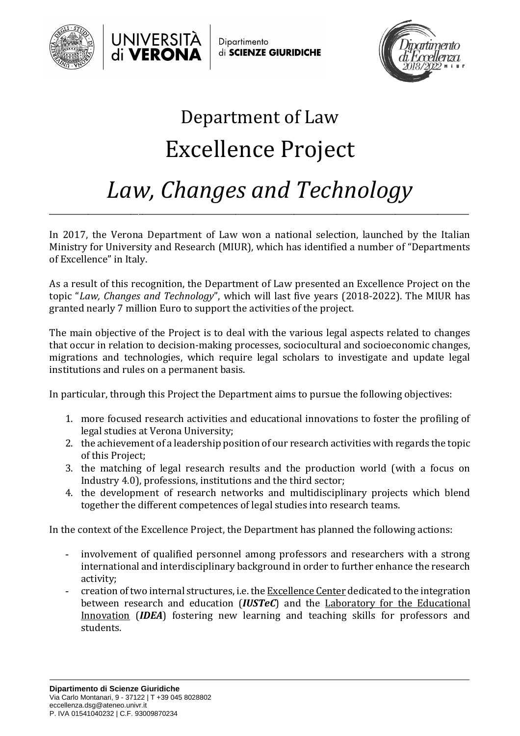



Dipartimento di SCIENZE GIURIDICHE



## Department of Law Excellence Project *Law, Changes and Technology*

In 2017, the Verona Department of Law won a national selection, launched by the Italian Ministry for University and Research (MIUR), which has identified a number of "Departments of Excellence" in Italy.

\_\_\_\_\_\_\_\_\_\_\_\_\_\_\_\_\_\_\_\_\_\_\_\_\_\_\_\_\_\_\_\_\_\_\_\_\_\_\_\_\_\_\_\_\_\_\_\_\_\_\_\_\_\_\_\_\_\_\_\_\_\_\_\_\_\_\_\_\_\_\_\_\_\_\_\_\_\_\_\_\_\_\_\_\_\_\_\_\_\_\_\_\_\_\_\_\_\_\_\_\_\_\_\_\_\_\_\_

As a result of this recognition, the Department of Law presented an Excellence Project on the topic "*Law, Changes and Technology*", which will last five years (2018-2022). The MIUR has granted nearly 7 million Euro to support the activities of the project.

The main objective of the Project is to deal with the various legal aspects related to changes that occur in relation to decision-making processes, sociocultural and socioeconomic changes, migrations and technologies, which require legal scholars to investigate and update legal institutions and rules on a permanent basis.

In particular, through this Project the Department aims to pursue the following objectives:

- 1. more focused research activities and educational innovations to foster the profiling of legal studies at Verona University;
- 2. the achievement of a leadership position of our research activities with regards the topic of this Project;
- 3. the matching of legal research results and the production world (with a focus on Industry 4.0), professions, institutions and the third sector;
- 4. the development of research networks and multidisciplinary projects which blend together the different competences of legal studies into research teams.

In the context of the Excellence Project, the Department has planned the following actions:

- involvement of qualified personnel among professors and researchers with a strong international and interdisciplinary background in order to further enhance the research activity;
- creation of two internal structures, i.e. the Excellence Center dedicated to the integration between research and education (*IUSTeC*) and the Laboratory for the Educational Innovation (*IDEA*) fostering new learning and teaching skills for professors and students.